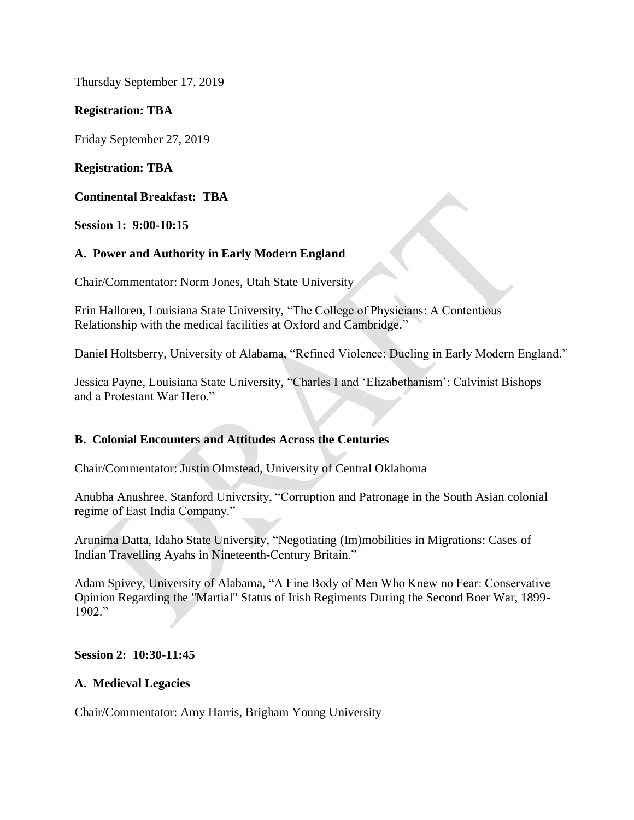Thursday September 17, 2019

# **Registration: TBA**

Friday September 27, 2019

## **Registration: TBA**

**Continental Breakfast: TBA**

**Session 1: 9:00-10:15**

## **A. Power and Authority in Early Modern England**

Chair/Commentator: Norm Jones, Utah State University

Erin Halloren, Louisiana State University, "The College of Physicians: A Contentious Relationship with the medical facilities at Oxford and Cambridge."

Daniel Holtsberry, University of Alabama, "Refined Violence: Dueling in Early Modern England."

Jessica Payne, Louisiana State University, "Charles I and 'Elizabethanism': Calvinist Bishops and a Protestant War Hero."

## **B. Colonial Encounters and Attitudes Across the Centuries**

Chair/Commentator: Justin Olmstead, University of Central Oklahoma

Anubha Anushree, Stanford University, "Corruption and Patronage in the South Asian colonial regime of East India Company."

Arunima Datta, Idaho State University, "Negotiating (Im)mobilities in Migrations: Cases of Indian Travelling Ayahs in Nineteenth-Century Britain."

Adam Spivey, University of Alabama, "A Fine Body of Men Who Knew no Fear: Conservative Opinion Regarding the "Martial" Status of Irish Regiments During the Second Boer War, 1899- 1902."

## **Session 2: 10:30-11:45**

## **A. Medieval Legacies**

Chair/Commentator: Amy Harris, Brigham Young University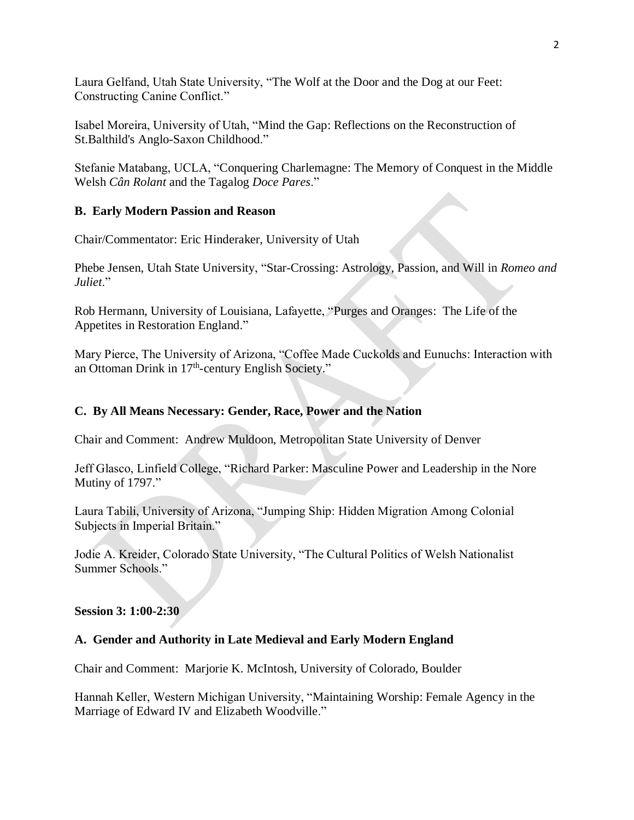Laura Gelfand, Utah State University, "The Wolf at the Door and the Dog at our Feet: Constructing Canine Conflict."

Isabel Moreira, University of Utah, "Mind the Gap: Reflections on the Reconstruction of St.Balthild's Anglo-Saxon Childhood."

Stefanie Matabang, UCLA, "Conquering Charlemagne: The Memory of Conquest in the Middle Welsh *Cân Rolant* and the Tagalog *Doce Pares*."

## **B. Early Modern Passion and Reason**

Chair/Commentator: Eric Hinderaker, University of Utah

Phebe Jensen, Utah State University, "Star-Crossing: Astrology, Passion, and Will in *Romeo and Juliet*."

Rob Hermann, University of Louisiana, Lafayette, "Purges and Oranges: The Life of the Appetites in Restoration England."

Mary Pierce, The University of Arizona, "Coffee Made Cuckolds and Eunuchs: Interaction with an Ottoman Drink in 17<sup>th</sup>-century English Society."

# **C. By All Means Necessary: Gender, Race, Power and the Nation**

Chair and Comment: Andrew Muldoon, Metropolitan State University of Denver

Jeff Glasco, Linfield College, "Richard Parker: Masculine Power and Leadership in the Nore Mutiny of 1797."

Laura Tabili, University of Arizona, "Jumping Ship: Hidden Migration Among Colonial Subjects in Imperial Britain."

Jodie A. Kreider, Colorado State University, "The Cultural Politics of Welsh Nationalist Summer Schools."

**Session 3: 1:00-2:30**

## **A. Gender and Authority in Late Medieval and Early Modern England**

Chair and Comment: Marjorie K. McIntosh, University of Colorado, Boulder

Hannah Keller, Western Michigan University, "Maintaining Worship: Female Agency in the Marriage of Edward IV and Elizabeth Woodville."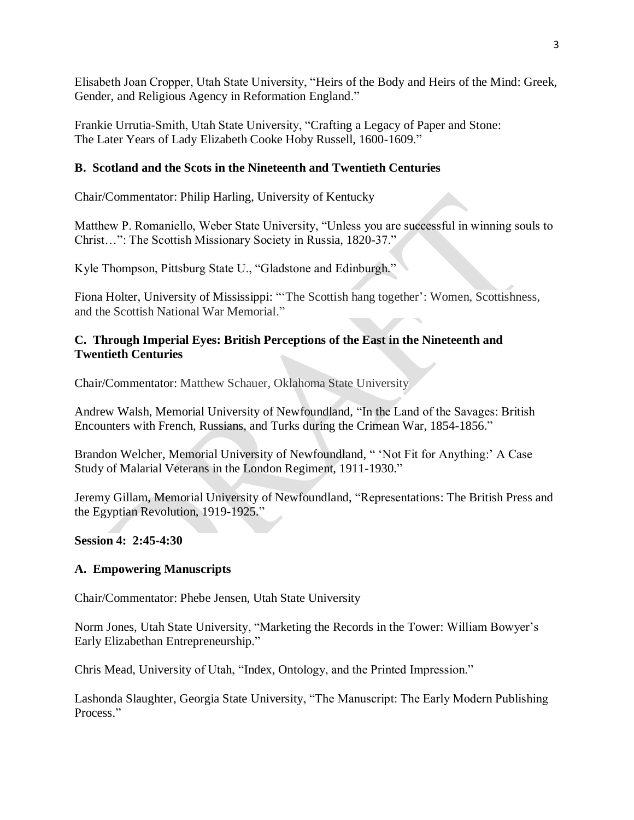Elisabeth Joan Cropper, Utah State University, "Heirs of the Body and Heirs of the Mind: Greek, Gender, and Religious Agency in Reformation England."

Frankie Urrutia-Smith, Utah State University, "Crafting a Legacy of Paper and Stone: The Later Years of Lady Elizabeth Cooke Hoby Russell, 1600-1609."

## **B. Scotland and the Scots in the Nineteenth and Twentieth Centuries**

Chair/Commentator: Philip Harling, University of Kentucky

Matthew P. Romaniello, Weber State University, "Unless you are successful in winning souls to Christ…": The Scottish Missionary Society in Russia, 1820-37."

Kyle Thompson, Pittsburg State U., "Gladstone and Edinburgh."

Fiona Holter, University of Mississippi: "'The Scottish hang together': Women, Scottishness, and the Scottish National War Memorial."

## **C. Through Imperial Eyes: British Perceptions of the East in the Nineteenth and Twentieth Centuries**

Chair/Commentator: Matthew Schauer, Oklahoma State University

Andrew Walsh, Memorial University of Newfoundland, "In the Land of the Savages: British Encounters with French, Russians, and Turks during the Crimean War, 1854-1856."

Brandon Welcher, Memorial University of Newfoundland, "Yot Fit for Anything:' A Case Study of Malarial Veterans in the London Regiment, 1911-1930."

Jeremy Gillam, Memorial University of Newfoundland, "Representations: The British Press and the Egyptian Revolution, 1919-1925."

## **Session 4: 2:45-4:30**

## **A. Empowering Manuscripts**

Chair/Commentator: Phebe Jensen, Utah State University

Norm Jones, Utah State University, "Marketing the Records in the Tower: William Bowyer's Early Elizabethan Entrepreneurship."

Chris Mead, University of Utah, "Index, Ontology, and the Printed Impression."

Lashonda Slaughter, Georgia State University, "The Manuscript: The Early Modern Publishing Process."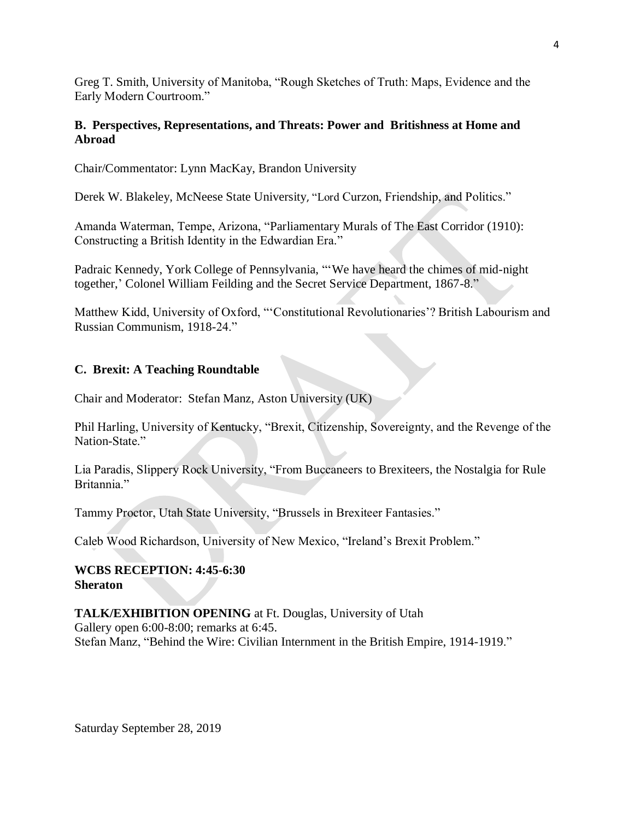Greg T. Smith, University of Manitoba, "Rough Sketches of Truth: Maps, Evidence and the Early Modern Courtroom."

## **B. Perspectives, Representations, and Threats: Power and Britishness at Home and Abroad**

Chair/Commentator: Lynn MacKay, Brandon University

Derek W. Blakeley, McNeese State University, "Lord Curzon, Friendship, and Politics."

Amanda Waterman, Tempe, Arizona, "Parliamentary Murals of The East Corridor (1910): Constructing a British Identity in the Edwardian Era."

Padraic Kennedy, York College of Pennsylvania, "'We have heard the chimes of mid-night together,' Colonel William Feilding and the Secret Service Department, 1867-8."

Matthew Kidd, University of Oxford, "'Constitutional Revolutionaries'? British Labourism and Russian Communism, 1918-24."

# **C. Brexit: A Teaching Roundtable**

Chair and Moderator: Stefan Manz, Aston University (UK)

Phil Harling, University of Kentucky, "Brexit, Citizenship, Sovereignty, and the Revenge of the Nation-State<sup>"</sup>

Lia Paradis, Slippery Rock University, "From Buccaneers to Brexiteers, the Nostalgia for Rule Britannia<sup>"</sup>

Tammy Proctor, Utah State University, "Brussels in Brexiteer Fantasies."

Caleb Wood Richardson, University of New Mexico, "Ireland's Brexit Problem."

## **WCBS RECEPTION: 4:45-6:30 Sheraton**

## **TALK/EXHIBITION OPENING** at Ft. Douglas, University of Utah

Gallery open 6:00-8:00; remarks at 6:45. Stefan Manz, "Behind the Wire: Civilian Internment in the British Empire, 1914-1919."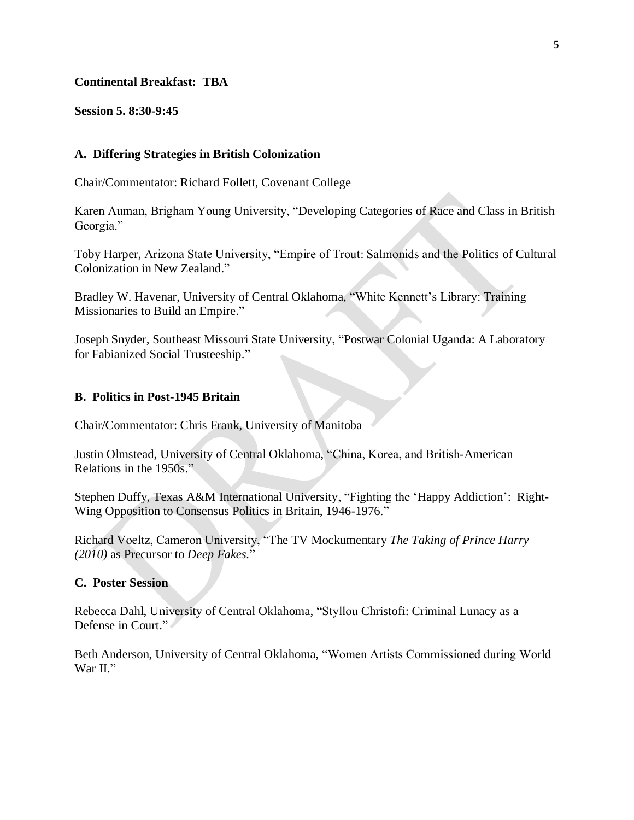#### **Continental Breakfast: TBA**

**Session 5. 8:30-9:45**

### **A. Differing Strategies in British Colonization**

Chair/Commentator: Richard Follett, Covenant College

Karen Auman, Brigham Young University, "Developing Categories of Race and Class in British Georgia."

Toby Harper, Arizona State University, "Empire of Trout: Salmonids and the Politics of Cultural Colonization in New Zealand."

Bradley W. Havenar, University of Central Oklahoma, "White Kennett's Library: Training Missionaries to Build an Empire."

Joseph Snyder, Southeast Missouri State University, "Postwar Colonial Uganda: A Laboratory for Fabianized Social Trusteeship."

### **B. Politics in Post-1945 Britain**

Chair/Commentator: Chris Frank, University of Manitoba

Justin Olmstead, University of Central Oklahoma, "China, Korea, and British-American Relations in the 1950s."

Stephen Duffy, Texas A&M International University, "Fighting the 'Happy Addiction': Right-Wing Opposition to Consensus Politics in Britain, 1946-1976."

Richard Voeltz, Cameron University, "The TV Mockumentary *The Taking of Prince Harry (2010)* as Precursor to *Deep Fakes.*"

#### **C. Poster Session**

Rebecca Dahl, University of Central Oklahoma, "Styllou Christofi: Criminal Lunacy as a Defense in Court."

Beth Anderson, University of Central Oklahoma, "Women Artists Commissioned during World War II."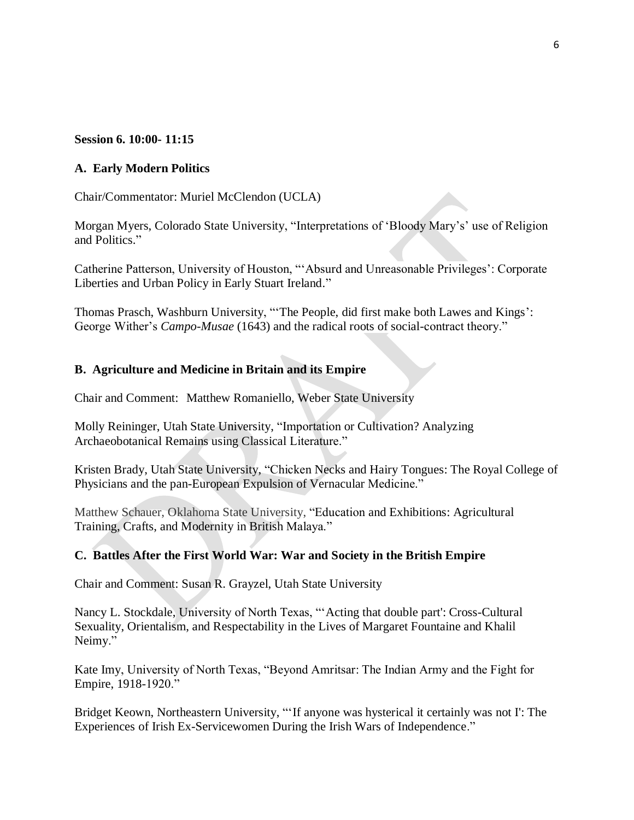## **Session 6. 10:00- 11:15**

## **A. Early Modern Politics**

Chair/Commentator: Muriel McClendon (UCLA)

Morgan Myers, Colorado State University, "Interpretations of 'Bloody Mary's' use of Religion and Politics."

Catherine Patterson, University of Houston, "'Absurd and Unreasonable Privileges': Corporate Liberties and Urban Policy in Early Stuart Ireland."

Thomas Prasch, Washburn University, "'The People, did first make both Lawes and Kings': George Wither's *Campo-Musae* (1643) and the radical roots of social-contract theory."

# **B. Agriculture and Medicine in Britain and its Empire**

Chair and Comment: Matthew Romaniello, Weber State University

Molly Reininger, Utah State University, "Importation or Cultivation? Analyzing Archaeobotanical Remains using Classical Literature."

Kristen Brady, Utah State University, "Chicken Necks and Hairy Tongues: The Royal College of Physicians and the pan-European Expulsion of Vernacular Medicine."

Matthew Schauer, Oklahoma State University, "Education and Exhibitions: Agricultural Training, Crafts, and Modernity in British Malaya."

# **C. Battles After the First World War: War and Society in the British Empire**

Chair and Comment: Susan R. Grayzel, Utah State University

Nancy L. Stockdale, University of North Texas, "'Acting that double part': Cross-Cultural Sexuality, Orientalism, and Respectability in the Lives of Margaret Fountaine and Khalil Neimy."

Kate Imy, University of North Texas, "Beyond Amritsar: The Indian Army and the Fight for Empire, 1918-1920."

Bridget Keown, Northeastern University, "'If anyone was hysterical it certainly was not I': The Experiences of Irish Ex-Servicewomen During the Irish Wars of Independence."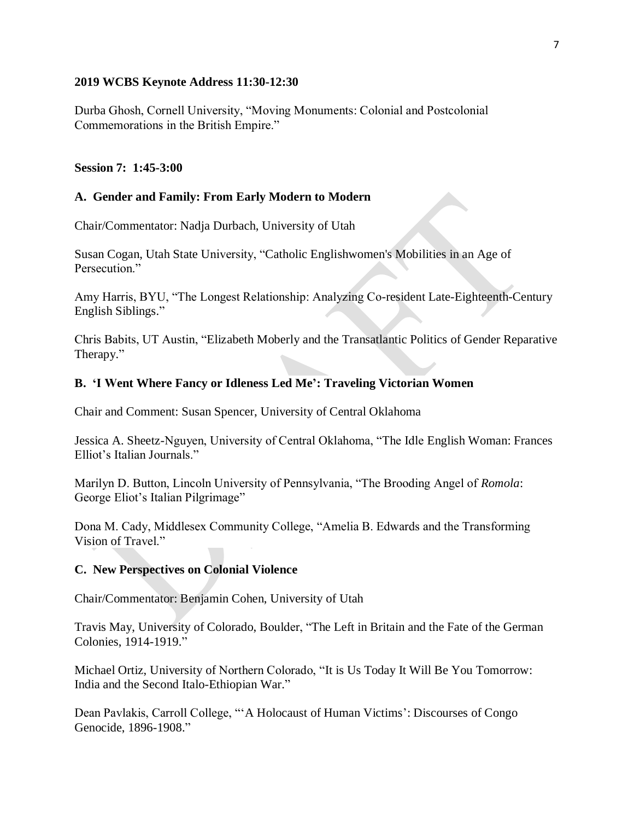### **2019 WCBS Keynote Address 11:30-12:30**

Durba Ghosh, Cornell University, "Moving Monuments: Colonial and Postcolonial Commemorations in the British Empire."

### **Session 7: 1:45-3:00**

### **A. Gender and Family: From Early Modern to Modern**

Chair/Commentator: Nadja Durbach, University of Utah

Susan Cogan, Utah State University, "Catholic Englishwomen's Mobilities in an Age of Persecution."

Amy Harris, BYU, "The Longest Relationship: Analyzing Co-resident Late-Eighteenth-Century English Siblings."

Chris Babits, UT Austin, "Elizabeth Moberly and the Transatlantic Politics of Gender Reparative Therapy."

### **B. 'I Went Where Fancy or Idleness Led Me': Traveling Victorian Women**

Chair and Comment: Susan Spencer, University of Central Oklahoma

Jessica A. Sheetz-Nguyen, University of Central Oklahoma, "The Idle English Woman: Frances Elliot's Italian Journals."

Marilyn D. Button, Lincoln University of Pennsylvania, "The Brooding Angel of *Romola*: George Eliot's Italian Pilgrimage"

Dona M. Cady, Middlesex Community College, "Amelia B. Edwards and the Transforming Vision of Travel."

### **C. New Perspectives on Colonial Violence**

Chair/Commentator: Benjamin Cohen, University of Utah

Travis May, University of Colorado, Boulder, "The Left in Britain and the Fate of the German Colonies, 1914-1919."

Michael Ortiz, University of Northern Colorado, "It is Us Today It Will Be You Tomorrow: India and the Second Italo-Ethiopian War."

Dean Pavlakis, Carroll College, "'A Holocaust of Human Victims': Discourses of Congo Genocide, 1896-1908."